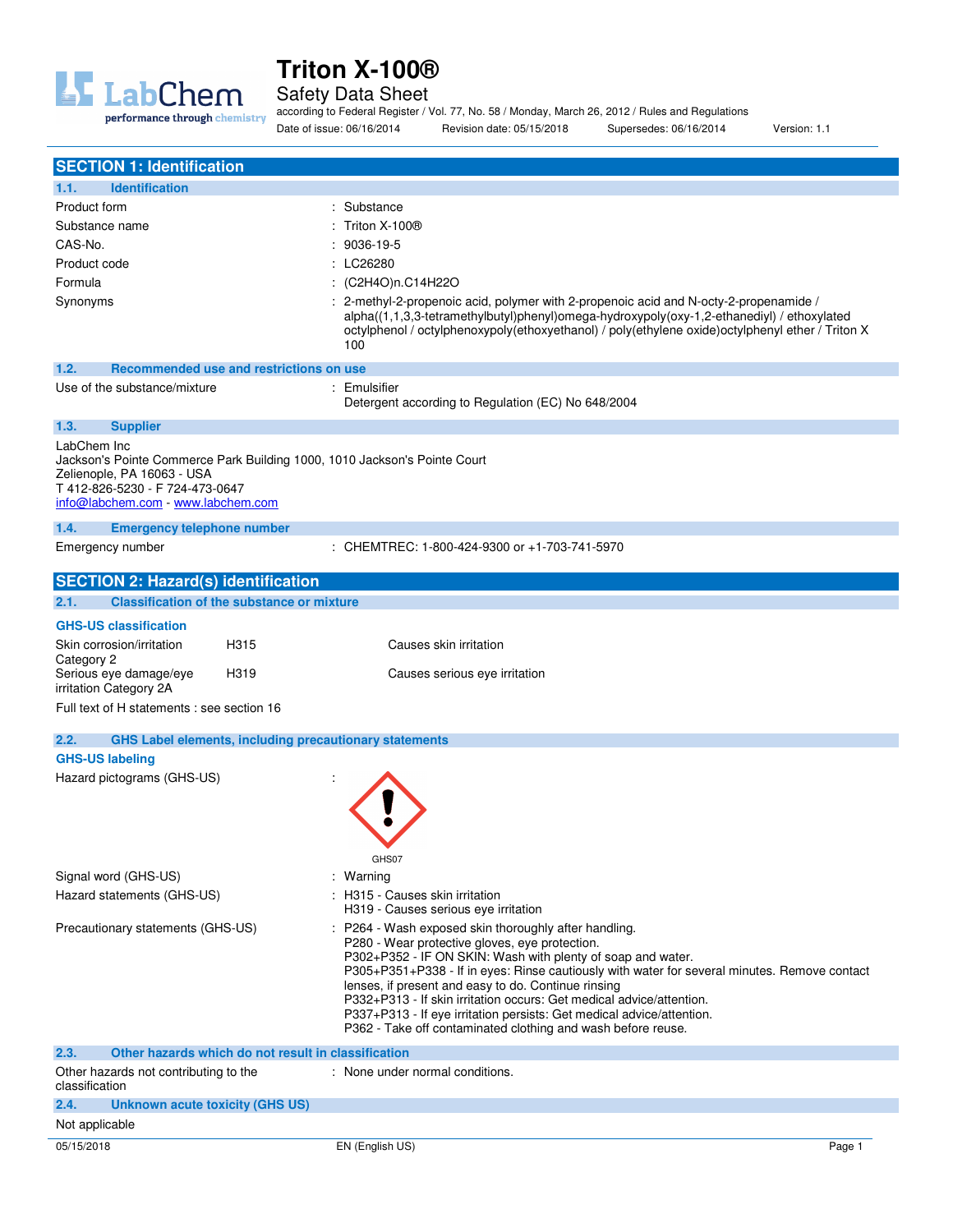

Safety Data Sheet

according to Federal Register / Vol. 77, No. 58 / Monday, March 26, 2012 / Rules and Regulations Date of issue: 06/16/2014 Revision date: 05/15/2018 Supersedes: 06/16/2014 Version: 1.1

| <b>SECTION 1: Identification</b>                                                                                                                                                                |                                                                                                                                                                                                                                                                                                                                                                                                                                                                                                                                                |
|-------------------------------------------------------------------------------------------------------------------------------------------------------------------------------------------------|------------------------------------------------------------------------------------------------------------------------------------------------------------------------------------------------------------------------------------------------------------------------------------------------------------------------------------------------------------------------------------------------------------------------------------------------------------------------------------------------------------------------------------------------|
| 1.1.<br><b>Identification</b>                                                                                                                                                                   |                                                                                                                                                                                                                                                                                                                                                                                                                                                                                                                                                |
| Product form                                                                                                                                                                                    | : Substance                                                                                                                                                                                                                                                                                                                                                                                                                                                                                                                                    |
| Substance name                                                                                                                                                                                  | Triton X-100®                                                                                                                                                                                                                                                                                                                                                                                                                                                                                                                                  |
| CAS-No.                                                                                                                                                                                         | : 9036-19-5                                                                                                                                                                                                                                                                                                                                                                                                                                                                                                                                    |
| Product code                                                                                                                                                                                    | : LC26280                                                                                                                                                                                                                                                                                                                                                                                                                                                                                                                                      |
| Formula                                                                                                                                                                                         | : (C2H4O)n.C14H22O                                                                                                                                                                                                                                                                                                                                                                                                                                                                                                                             |
| Synonyms                                                                                                                                                                                        | : 2-methyl-2-propenoic acid, polymer with 2-propenoic acid and N-octy-2-propenamide /                                                                                                                                                                                                                                                                                                                                                                                                                                                          |
|                                                                                                                                                                                                 | alpha((1,1,3,3-tetramethylbutyl)phenyl)omega-hydroxypoly(oxy-1,2-ethanediyl) / ethoxylated<br>octylphenol / octylphenoxypoly(ethoxyethanol) / poly(ethylene oxide)octylphenyl ether / Triton X<br>100                                                                                                                                                                                                                                                                                                                                          |
| 1.2.<br>Recommended use and restrictions on use                                                                                                                                                 |                                                                                                                                                                                                                                                                                                                                                                                                                                                                                                                                                |
| Use of the substance/mixture                                                                                                                                                                    | : Emulsifier<br>Detergent according to Regulation (EC) No 648/2004                                                                                                                                                                                                                                                                                                                                                                                                                                                                             |
| 1.3.<br><b>Supplier</b>                                                                                                                                                                         |                                                                                                                                                                                                                                                                                                                                                                                                                                                                                                                                                |
| LabChem Inc<br>Jackson's Pointe Commerce Park Building 1000, 1010 Jackson's Pointe Court<br>Zelienople, PA 16063 - USA<br>T 412-826-5230 - F 724-473-0647<br>info@labchem.com - www.labchem.com |                                                                                                                                                                                                                                                                                                                                                                                                                                                                                                                                                |
| 1.4.<br><b>Emergency telephone number</b>                                                                                                                                                       |                                                                                                                                                                                                                                                                                                                                                                                                                                                                                                                                                |
| Emergency number                                                                                                                                                                                | : CHEMTREC: 1-800-424-9300 or +1-703-741-5970                                                                                                                                                                                                                                                                                                                                                                                                                                                                                                  |
| <b>SECTION 2: Hazard(s) identification</b>                                                                                                                                                      |                                                                                                                                                                                                                                                                                                                                                                                                                                                                                                                                                |
| 2.1.<br><b>Classification of the substance or mixture</b>                                                                                                                                       |                                                                                                                                                                                                                                                                                                                                                                                                                                                                                                                                                |
| <b>GHS-US classification</b>                                                                                                                                                                    |                                                                                                                                                                                                                                                                                                                                                                                                                                                                                                                                                |
| Skin corrosion/irritation<br>H315                                                                                                                                                               | Causes skin irritation                                                                                                                                                                                                                                                                                                                                                                                                                                                                                                                         |
| Category 2<br>Serious eye damage/eye<br>H319<br>irritation Category 2A                                                                                                                          | Causes serious eye irritation                                                                                                                                                                                                                                                                                                                                                                                                                                                                                                                  |
| Full text of H statements : see section 16                                                                                                                                                      |                                                                                                                                                                                                                                                                                                                                                                                                                                                                                                                                                |
| <b>GHS Label elements, including precautionary statements</b><br>2.2.                                                                                                                           |                                                                                                                                                                                                                                                                                                                                                                                                                                                                                                                                                |
| <b>GHS-US labeling</b>                                                                                                                                                                          |                                                                                                                                                                                                                                                                                                                                                                                                                                                                                                                                                |
| Hazard pictograms (GHS-US)                                                                                                                                                                      |                                                                                                                                                                                                                                                                                                                                                                                                                                                                                                                                                |
|                                                                                                                                                                                                 | GHS07                                                                                                                                                                                                                                                                                                                                                                                                                                                                                                                                          |
| Signal word (GHS-US)                                                                                                                                                                            | : Warning                                                                                                                                                                                                                                                                                                                                                                                                                                                                                                                                      |
| Hazard statements (GHS-US)                                                                                                                                                                      | : H315 - Causes skin irritation                                                                                                                                                                                                                                                                                                                                                                                                                                                                                                                |
|                                                                                                                                                                                                 | H319 - Causes serious eye irritation                                                                                                                                                                                                                                                                                                                                                                                                                                                                                                           |
| Precautionary statements (GHS-US)                                                                                                                                                               | : P264 - Wash exposed skin thoroughly after handling.<br>P280 - Wear protective gloves, eye protection.<br>P302+P352 - IF ON SKIN: Wash with plenty of soap and water.<br>P305+P351+P338 - If in eyes: Rinse cautiously with water for several minutes. Remove contact<br>lenses, if present and easy to do. Continue rinsing<br>P332+P313 - If skin irritation occurs: Get medical advice/attention.<br>P337+P313 - If eye irritation persists: Get medical advice/attention.<br>P362 - Take off contaminated clothing and wash before reuse. |
| Other hazards which do not result in classification<br>2.3.                                                                                                                                     |                                                                                                                                                                                                                                                                                                                                                                                                                                                                                                                                                |
| Other hazards not contributing to the<br>classification                                                                                                                                         | : None under normal conditions.                                                                                                                                                                                                                                                                                                                                                                                                                                                                                                                |
| 2.4.<br><b>Unknown acute toxicity (GHS US)</b>                                                                                                                                                  |                                                                                                                                                                                                                                                                                                                                                                                                                                                                                                                                                |
| Not applicable                                                                                                                                                                                  |                                                                                                                                                                                                                                                                                                                                                                                                                                                                                                                                                |
| 05/15/2018                                                                                                                                                                                      | EN (English US)<br>Page 1                                                                                                                                                                                                                                                                                                                                                                                                                                                                                                                      |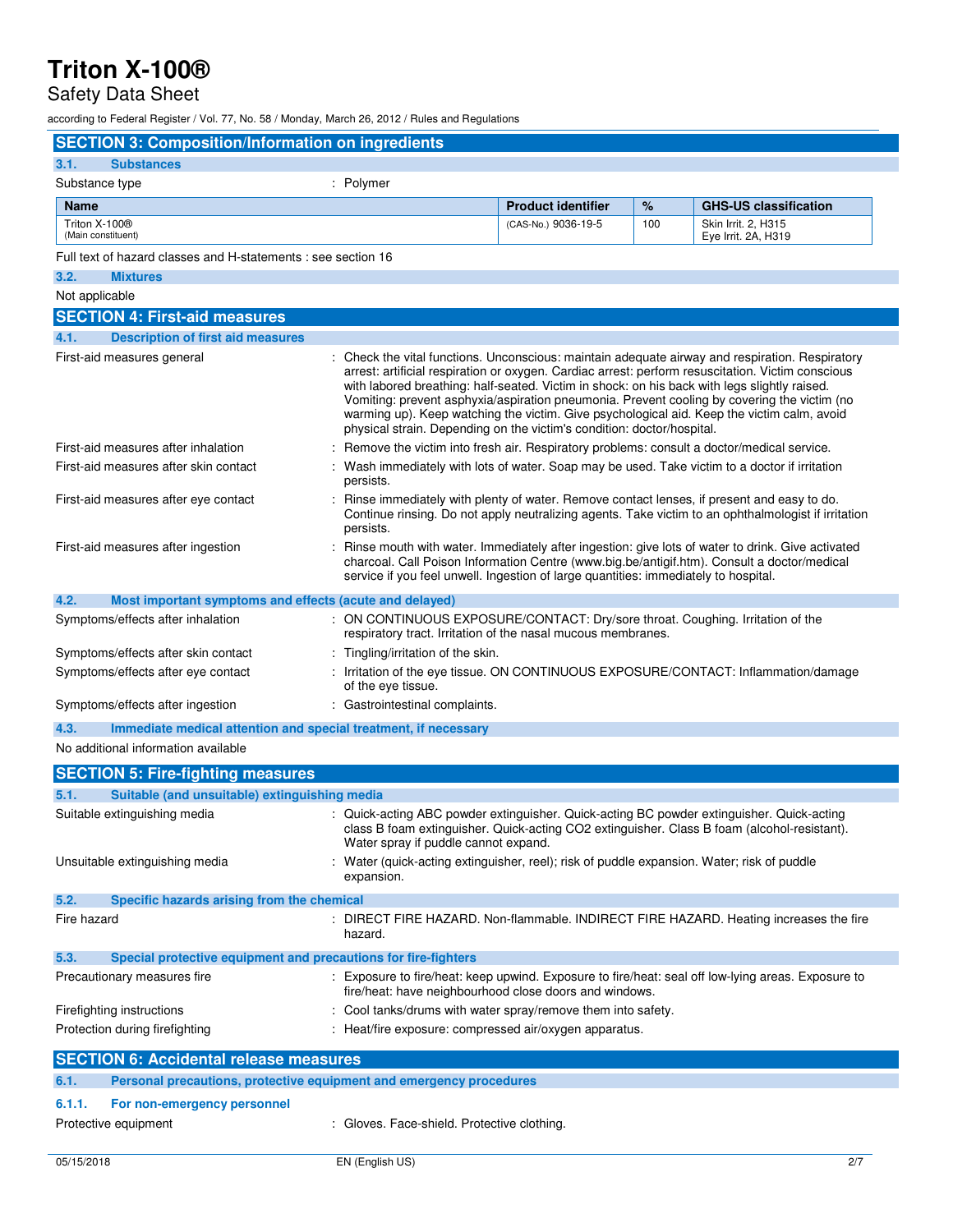## Safety Data Sheet

according to Federal Register / Vol. 77, No. 58 / Monday, March 26, 2012 / Rules and Regulations

| <b>SECTION 3: Composition/Information on ingredients</b>                    |                                                                                                                                                |                           |     |                                                                                                                                                                                                                                                                                                                                                                                                                                                                                                   |
|-----------------------------------------------------------------------------|------------------------------------------------------------------------------------------------------------------------------------------------|---------------------------|-----|---------------------------------------------------------------------------------------------------------------------------------------------------------------------------------------------------------------------------------------------------------------------------------------------------------------------------------------------------------------------------------------------------------------------------------------------------------------------------------------------------|
| <b>Substances</b><br>3.1.                                                   |                                                                                                                                                |                           |     |                                                                                                                                                                                                                                                                                                                                                                                                                                                                                                   |
| Substance type                                                              | : Polymer                                                                                                                                      |                           |     |                                                                                                                                                                                                                                                                                                                                                                                                                                                                                                   |
| <b>Name</b>                                                                 |                                                                                                                                                | <b>Product identifier</b> | %   | <b>GHS-US classification</b>                                                                                                                                                                                                                                                                                                                                                                                                                                                                      |
| Triton X-100®<br>(Main constituent)                                         |                                                                                                                                                | (CAS-No.) 9036-19-5       | 100 | Skin Irrit. 2, H315<br>Eye Irrit. 2A, H319                                                                                                                                                                                                                                                                                                                                                                                                                                                        |
| Full text of hazard classes and H-statements : see section 16               |                                                                                                                                                |                           |     |                                                                                                                                                                                                                                                                                                                                                                                                                                                                                                   |
| 3.2.<br><b>Mixtures</b>                                                     |                                                                                                                                                |                           |     |                                                                                                                                                                                                                                                                                                                                                                                                                                                                                                   |
| Not applicable                                                              |                                                                                                                                                |                           |     |                                                                                                                                                                                                                                                                                                                                                                                                                                                                                                   |
| <b>SECTION 4: First-aid measures</b>                                        |                                                                                                                                                |                           |     |                                                                                                                                                                                                                                                                                                                                                                                                                                                                                                   |
| 4.1.<br><b>Description of first aid measures</b>                            |                                                                                                                                                |                           |     |                                                                                                                                                                                                                                                                                                                                                                                                                                                                                                   |
| First-aid measures general                                                  | physical strain. Depending on the victim's condition: doctor/hospital.                                                                         |                           |     | : Check the vital functions. Unconscious: maintain adequate airway and respiration. Respiratory<br>arrest: artificial respiration or oxygen. Cardiac arrest: perform resuscitation. Victim conscious<br>with labored breathing: half-seated. Victim in shock: on his back with legs slightly raised.<br>Vomiting: prevent asphyxia/aspiration pneumonia. Prevent cooling by covering the victim (no<br>warming up). Keep watching the victim. Give psychological aid. Keep the victim calm, avoid |
| First-aid measures after inhalation                                         | Remove the victim into fresh air. Respiratory problems: consult a doctor/medical service.                                                      |                           |     |                                                                                                                                                                                                                                                                                                                                                                                                                                                                                                   |
| First-aid measures after skin contact                                       | persists.                                                                                                                                      |                           |     | Wash immediately with lots of water. Soap may be used. Take victim to a doctor if irritation                                                                                                                                                                                                                                                                                                                                                                                                      |
| First-aid measures after eye contact                                        | persists.                                                                                                                                      |                           |     | Rinse immediately with plenty of water. Remove contact lenses, if present and easy to do.<br>Continue rinsing. Do not apply neutralizing agents. Take victim to an ophthalmologist if irritation                                                                                                                                                                                                                                                                                                  |
| First-aid measures after ingestion                                          | service if you feel unwell. Ingestion of large quantities: immediately to hospital.                                                            |                           |     | Rinse mouth with water. Immediately after ingestion: give lots of water to drink. Give activated<br>charcoal. Call Poison Information Centre (www.big.be/antigif.htm). Consult a doctor/medical                                                                                                                                                                                                                                                                                                   |
| 4.2.<br>Most important symptoms and effects (acute and delayed)             |                                                                                                                                                |                           |     |                                                                                                                                                                                                                                                                                                                                                                                                                                                                                                   |
| Symptoms/effects after inhalation                                           | : ON CONTINUOUS EXPOSURE/CONTACT: Dry/sore throat. Coughing. Irritation of the<br>respiratory tract. Irritation of the nasal mucous membranes. |                           |     |                                                                                                                                                                                                                                                                                                                                                                                                                                                                                                   |
| Symptoms/effects after skin contact                                         | : Tingling/irritation of the skin.                                                                                                             |                           |     |                                                                                                                                                                                                                                                                                                                                                                                                                                                                                                   |
| Symptoms/effects after eye contact                                          | of the eye tissue.                                                                                                                             |                           |     | : Irritation of the eye tissue. ON CONTINUOUS EXPOSURE/CONTACT: Inflammation/damage                                                                                                                                                                                                                                                                                                                                                                                                               |
| Symptoms/effects after ingestion                                            | : Gastrointestinal complaints.                                                                                                                 |                           |     |                                                                                                                                                                                                                                                                                                                                                                                                                                                                                                   |
| 4.3.<br>Immediate medical attention and special treatment, if necessary     |                                                                                                                                                |                           |     |                                                                                                                                                                                                                                                                                                                                                                                                                                                                                                   |
| No additional information available                                         |                                                                                                                                                |                           |     |                                                                                                                                                                                                                                                                                                                                                                                                                                                                                                   |
| <b>SECTION 5: Fire-fighting measures</b>                                    |                                                                                                                                                |                           |     |                                                                                                                                                                                                                                                                                                                                                                                                                                                                                                   |
| Suitable (and unsuitable) extinguishing media<br>5.1.                       |                                                                                                                                                |                           |     |                                                                                                                                                                                                                                                                                                                                                                                                                                                                                                   |
| Suitable extinguishing media                                                | Water spray if puddle cannot expand.                                                                                                           |                           |     | : Quick-acting ABC powder extinguisher. Quick-acting BC powder extinguisher. Quick-acting<br>class B foam extinguisher. Quick-acting CO2 extinguisher. Class B foam (alcohol-resistant).                                                                                                                                                                                                                                                                                                          |
| Unsuitable extinguishing media                                              | Water (quick-acting extinguisher, reel); risk of puddle expansion. Water; risk of puddle<br>expansion.                                         |                           |     |                                                                                                                                                                                                                                                                                                                                                                                                                                                                                                   |
| 5.2.<br>Specific hazards arising from the chemical                          |                                                                                                                                                |                           |     |                                                                                                                                                                                                                                                                                                                                                                                                                                                                                                   |
| Fire hazard                                                                 | hazard.                                                                                                                                        |                           |     | : DIRECT FIRE HAZARD. Non-flammable. INDIRECT FIRE HAZARD. Heating increases the fire                                                                                                                                                                                                                                                                                                                                                                                                             |
| Special protective equipment and precautions for fire-fighters<br>5.3.      |                                                                                                                                                |                           |     |                                                                                                                                                                                                                                                                                                                                                                                                                                                                                                   |
| Precautionary measures fire                                                 | fire/heat: have neighbourhood close doors and windows.                                                                                         |                           |     | : Exposure to fire/heat: keep upwind. Exposure to fire/heat: seal off low-lying areas. Exposure to                                                                                                                                                                                                                                                                                                                                                                                                |
| Firefighting instructions                                                   | : Cool tanks/drums with water spray/remove them into safety.                                                                                   |                           |     |                                                                                                                                                                                                                                                                                                                                                                                                                                                                                                   |
| Protection during firefighting                                              | : Heat/fire exposure: compressed air/oxygen apparatus.                                                                                         |                           |     |                                                                                                                                                                                                                                                                                                                                                                                                                                                                                                   |
| <b>SECTION 6: Accidental release measures</b>                               |                                                                                                                                                |                           |     |                                                                                                                                                                                                                                                                                                                                                                                                                                                                                                   |
| Personal precautions, protective equipment and emergency procedures<br>6.1. |                                                                                                                                                |                           |     |                                                                                                                                                                                                                                                                                                                                                                                                                                                                                                   |
| 6.1.1.<br>For non-emergency personnel                                       |                                                                                                                                                |                           |     |                                                                                                                                                                                                                                                                                                                                                                                                                                                                                                   |
| Protective equipment                                                        | : Gloves. Face-shield. Protective clothing.                                                                                                    |                           |     |                                                                                                                                                                                                                                                                                                                                                                                                                                                                                                   |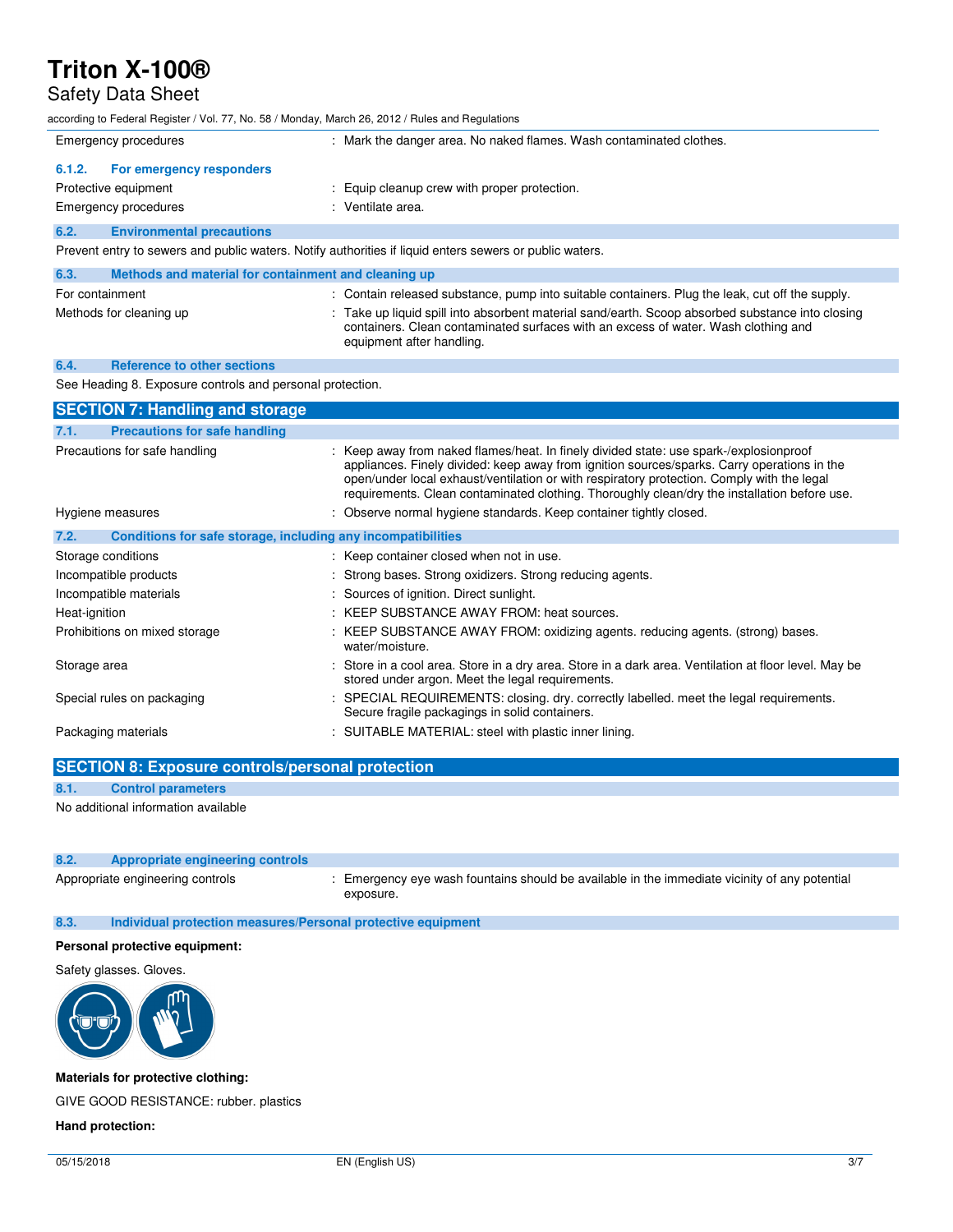### Safety Data Sheet

according to Federal Register / Vol. 77, No. 58 / Monday, March 26, 2012 / Rules and Regulations Emergency procedures : Mark the danger area. No naked flames. Wash contaminated clothes. **6.1.2. For emergency responders**  Protective equipment  $\qquad \qquad :$  Equip cleanup crew with proper protection. Emergency procedures in the set of the set of the Senate area. **6.2. Environmental precautions**  Prevent entry to sewers and public waters. Notify authorities if liquid enters sewers or public waters. **6.3. Methods and material for containment and cleaning up**  For containment : Contain released substance, pump into suitable containers. Plug the leak, cut off the supply. Methods for cleaning up : Take up liquid spill into absorbent material sand/earth. Scoop absorbed substance into closing containers. Clean contaminated surfaces with an excess of water. Wash clothing and equipment after handling. **6.4. Reference to other sections**  See Heading 8. Exposure controls and personal protection. **SECTION 7: Handling and storage 7.1. Precautions for safe handling**  Precautions for safe handling **included in the state of the state**: In finely divided state: use spark-/explosionproof appliances. Finely divided: keep away from ignition sources/sparks. Carry operations in the open/under local exhaust/ventilation or with respiratory protection. Comply with the legal requirements. Clean contaminated clothing. Thoroughly clean/dry the installation before use. Hygiene measures **in the standard of the standards.** Keep container tightly closed. **7.2. Conditions for safe storage, including any incompatibilities**  Storage conditions **Storage conditions** : Keep container closed when not in use. Incompatible products : Strong bases. Strong oxidizers. Strong reducing agents. Incompatible materials : Sources of ignition. Direct sunlight. Heat-ignition : KEEP SUBSTANCE AWAY FROM: heat sources. Prohibitions on mixed storage : KEEP SUBSTANCE AWAY FROM: oxidizing agents. reducing agents. (strong) bases. water/moisture. Storage area **in a cool area.** Store in a cool area. Store in a dry area. Store in a dark area. Ventilation at floor level. May be

stored under argon. Meet the legal requirements. Special rules on packaging state of the second of the SPECIAL REQUIREMENTS: closing. dry. correctly labelled. meet the legal requirements. Secure fragile packagings in solid containers. Packaging materials : SUITABLE MATERIAL: steel with plastic inner lining.

**SECTION 8: Exposure controls/personal protection 8.1. Control parameters**  No additional information available

| 8.2. | <b>Appropriate engineering controls</b> |                                                                                                            |
|------|-----------------------------------------|------------------------------------------------------------------------------------------------------------|
|      | Appropriate engineering controls        | : Emergency eye wash fountains should be available in the immediate vicinity of any potential<br>exposure. |

#### **8.3. Individual protection measures/Personal protective equipment**

#### **Personal protective equipment:**

Safety glasses. Gloves.



**Materials for protective clothing:** 

GIVE GOOD RESISTANCE: rubber. plastics

#### **Hand protection:**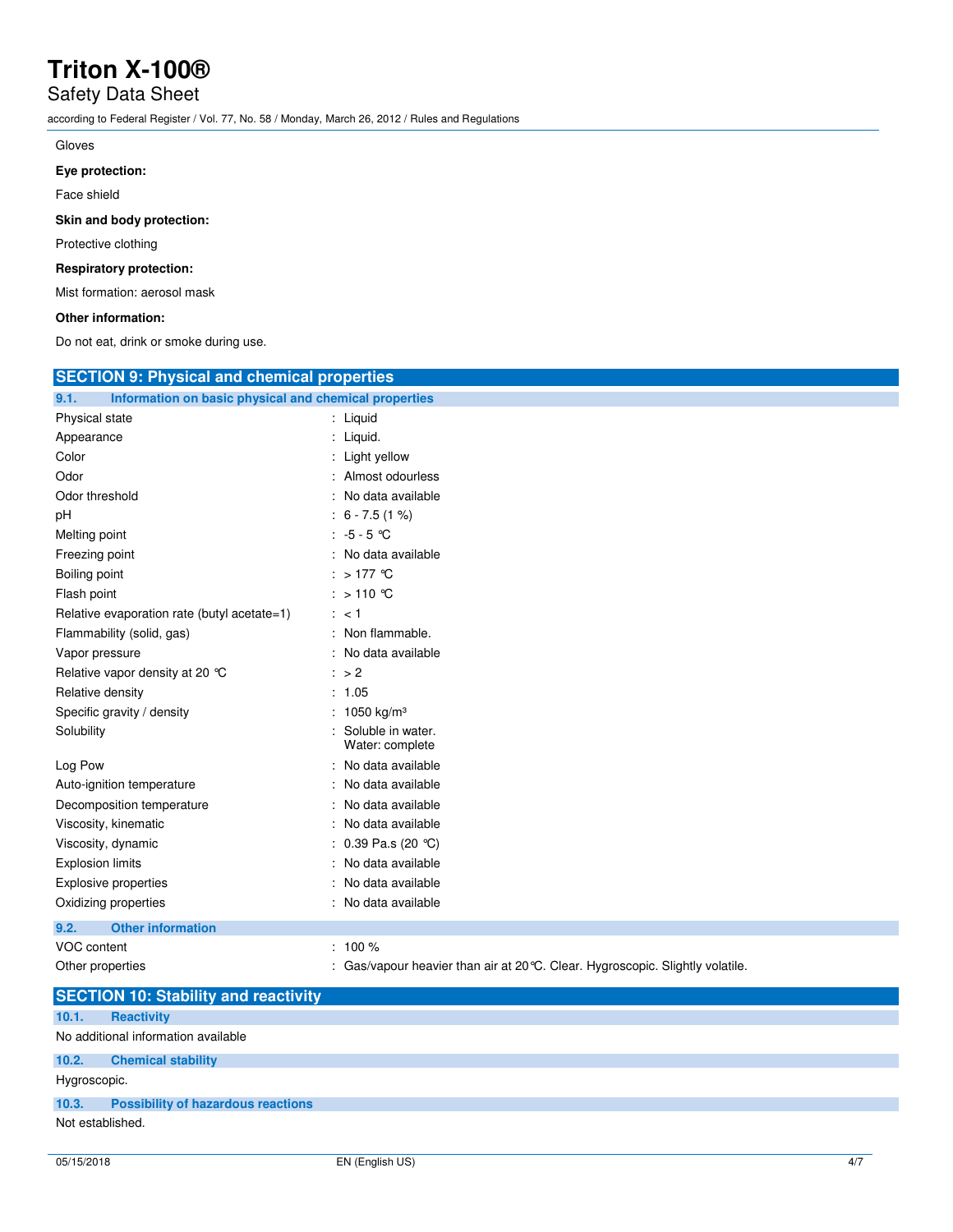## Safety Data Sheet

according to Federal Register / Vol. 77, No. 58 / Monday, March 26, 2012 / Rules and Regulations

#### Gloves

### **Eye protection:**

Face shield

**Skin and body protection:** 

Protective clothing

### **Respiratory protection:**

Mist formation: aerosol mask

### **Other information:**

Do not eat, drink or smoke during use.

| <b>SECTION 9: Physical and chemical properties</b>            |                                                                                |  |
|---------------------------------------------------------------|--------------------------------------------------------------------------------|--|
| Information on basic physical and chemical properties<br>9.1. |                                                                                |  |
| Physical state                                                | : Liquid                                                                       |  |
| Appearance                                                    | : Liquid.                                                                      |  |
| Color                                                         | : Light yellow                                                                 |  |
| Odor                                                          | : Almost odourless                                                             |  |
| Odor threshold                                                | : No data available                                                            |  |
| рH                                                            | $: 6 - 7.5(1%)$                                                                |  |
| Melting point                                                 | : $-5 - 5$ °C                                                                  |  |
| Freezing point                                                | : No data available                                                            |  |
| Boiling point                                                 | : $>177^\circ$ C                                                               |  |
| Flash point                                                   | : > 110 ℃                                                                      |  |
| Relative evaporation rate (butyl acetate=1)                   | : < 1                                                                          |  |
| Flammability (solid, gas)                                     | : Non flammable.                                                               |  |
| Vapor pressure                                                | : No data available                                                            |  |
| Relative vapor density at 20 °C                               | $\therefore$ > 2                                                               |  |
| Relative density                                              | : 1.05                                                                         |  |
| Specific gravity / density                                    | : 1050 kg/m <sup>3</sup>                                                       |  |
| Solubility                                                    | Soluble in water.<br>Water: complete                                           |  |
| Log Pow                                                       | : No data available                                                            |  |
| Auto-ignition temperature                                     | : No data available                                                            |  |
| Decomposition temperature                                     | : No data available                                                            |  |
| Viscosity, kinematic                                          | : No data available                                                            |  |
| Viscosity, dynamic                                            | : $0.39$ Pa.s (20 °C)                                                          |  |
| <b>Explosion limits</b>                                       | : No data available                                                            |  |
| <b>Explosive properties</b>                                   | : No data available                                                            |  |
| Oxidizing properties                                          | : No data available                                                            |  |
| <b>Other information</b><br>9.2.                              |                                                                                |  |
| VOC content                                                   | $: 100 \%$                                                                     |  |
| Other properties                                              | : Gas/vapour heavier than air at 20 °C. Clear. Hygroscopic. Slightly volatile. |  |
| CECTION 10. Ctability and reactivity                          |                                                                                |  |

|                  | <b>SECTION 10: Stability and reactivity</b> |  |  |  |
|------------------|---------------------------------------------|--|--|--|
| 10.1.            | <b>Reactivity</b>                           |  |  |  |
|                  | No additional information available         |  |  |  |
| 10.2.            | <b>Chemical stability</b>                   |  |  |  |
| Hygroscopic.     |                                             |  |  |  |
| 10.3.            | <b>Possibility of hazardous reactions</b>   |  |  |  |
| Not established. |                                             |  |  |  |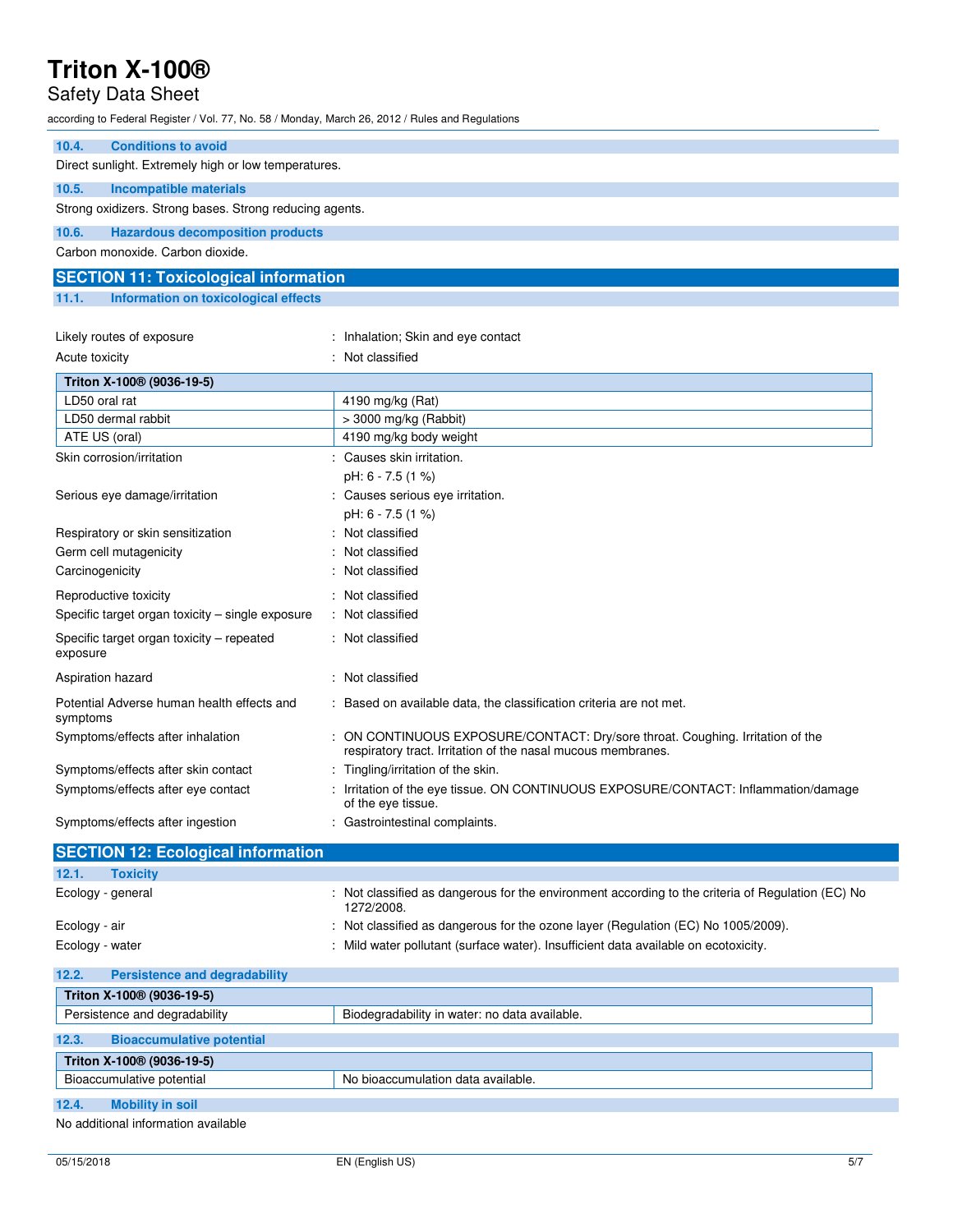## Safety Data Sheet

according to Federal Register / Vol. 77, No. 58 / Monday, March 26, 2012 / Rules and Regulations

| 10.4.<br><b>Conditions to avoid</b>                     |                                                                                                                                                |
|---------------------------------------------------------|------------------------------------------------------------------------------------------------------------------------------------------------|
| Direct sunlight. Extremely high or low temperatures.    |                                                                                                                                                |
| 10.5.<br><b>Incompatible materials</b>                  |                                                                                                                                                |
| Strong oxidizers. Strong bases. Strong reducing agents. |                                                                                                                                                |
| 10.6.<br><b>Hazardous decomposition products</b>        |                                                                                                                                                |
| Carbon monoxide, Carbon dioxide.                        |                                                                                                                                                |
| <b>SECTION 11: Toxicological information</b>            |                                                                                                                                                |
| 11.1.<br>Information on toxicological effects           |                                                                                                                                                |
|                                                         |                                                                                                                                                |
| Likely routes of exposure                               | : Inhalation; Skin and eye contact                                                                                                             |
| Acute toxicity                                          | : Not classified                                                                                                                               |
| Triton X-100 <sup>®</sup> (9036-19-5)                   |                                                                                                                                                |
| LD50 oral rat                                           | 4190 mg/kg (Rat)                                                                                                                               |
| LD50 dermal rabbit                                      | $>$ 3000 mg/kg (Rabbit)                                                                                                                        |
| ATE US (oral)                                           | 4190 mg/kg body weight                                                                                                                         |
| Skin corrosion/irritation                               | : Causes skin irritation.                                                                                                                      |
|                                                         | pH: 6 - 7.5 (1 %)                                                                                                                              |
| Serious eye damage/irritation                           | : Causes serious eye irritation.                                                                                                               |
|                                                         | pH: 6 - 7.5 (1 %)                                                                                                                              |
| Respiratory or skin sensitization                       | Not classified                                                                                                                                 |
| Germ cell mutagenicity                                  | : Not classified                                                                                                                               |
| Carcinogenicity                                         | : Not classified                                                                                                                               |
| Reproductive toxicity                                   | : Not classified                                                                                                                               |
| Specific target organ toxicity - single exposure        | : Not classified                                                                                                                               |
| Specific target organ toxicity – repeated<br>exposure   | : Not classified                                                                                                                               |
| Aspiration hazard                                       | : Not classified                                                                                                                               |
| Potential Adverse human health effects and<br>symptoms  | : Based on available data, the classification criteria are not met.                                                                            |
| Symptoms/effects after inhalation                       | : ON CONTINUOUS EXPOSURE/CONTACT: Dry/sore throat. Coughing. Irritation of the<br>respiratory tract. Irritation of the nasal mucous membranes. |
| Symptoms/effects after skin contact                     | Tingling/irritation of the skin.                                                                                                               |
| Symptoms/effects after eye contact                      | : Irritation of the eye tissue. ON CONTINUOUS EXPOSURE/CONTACT: Inflammation/damage<br>of the eye tissue.                                      |
| Symptoms/effects after ingestion                        | : Gastrointestinal complaints.                                                                                                                 |
| <b>SECTION 12: Ecological information</b>               |                                                                                                                                                |
| 12.1.<br><b>Toxicity</b>                                |                                                                                                                                                |
| Ecology - general                                       | : Not classified as dangerous for the environment according to the criteria of Regulation (EC) No<br>1272/2008.                                |

Ecology - air **in the oxone layer (Regulation (EC)** No 1005/2009). Cology - air in the ozone layer (Regulation (EC) No 1005/2009). Ecology - water  $\blacksquare$ : Mild water pollutant (surface water). Insufficient data available on ecotoxicity.

| 12.2.                                 | <b>Persistence and degradability</b>  |                                               |
|---------------------------------------|---------------------------------------|-----------------------------------------------|
|                                       | Triton X-100 <sup>®</sup> (9036-19-5) |                                               |
|                                       | Persistence and degradability         | Biodegradability in water: no data available. |
| 12.3.                                 | <b>Bioaccumulative potential</b>      |                                               |
| Triton X-100 <sup>®</sup> (9036-19-5) |                                       |                                               |
|                                       | Bioaccumulative potential             | No bioaccumulation data available.            |
| 12.4.                                 | <b>Mobility in soil</b>               |                                               |

No additional information available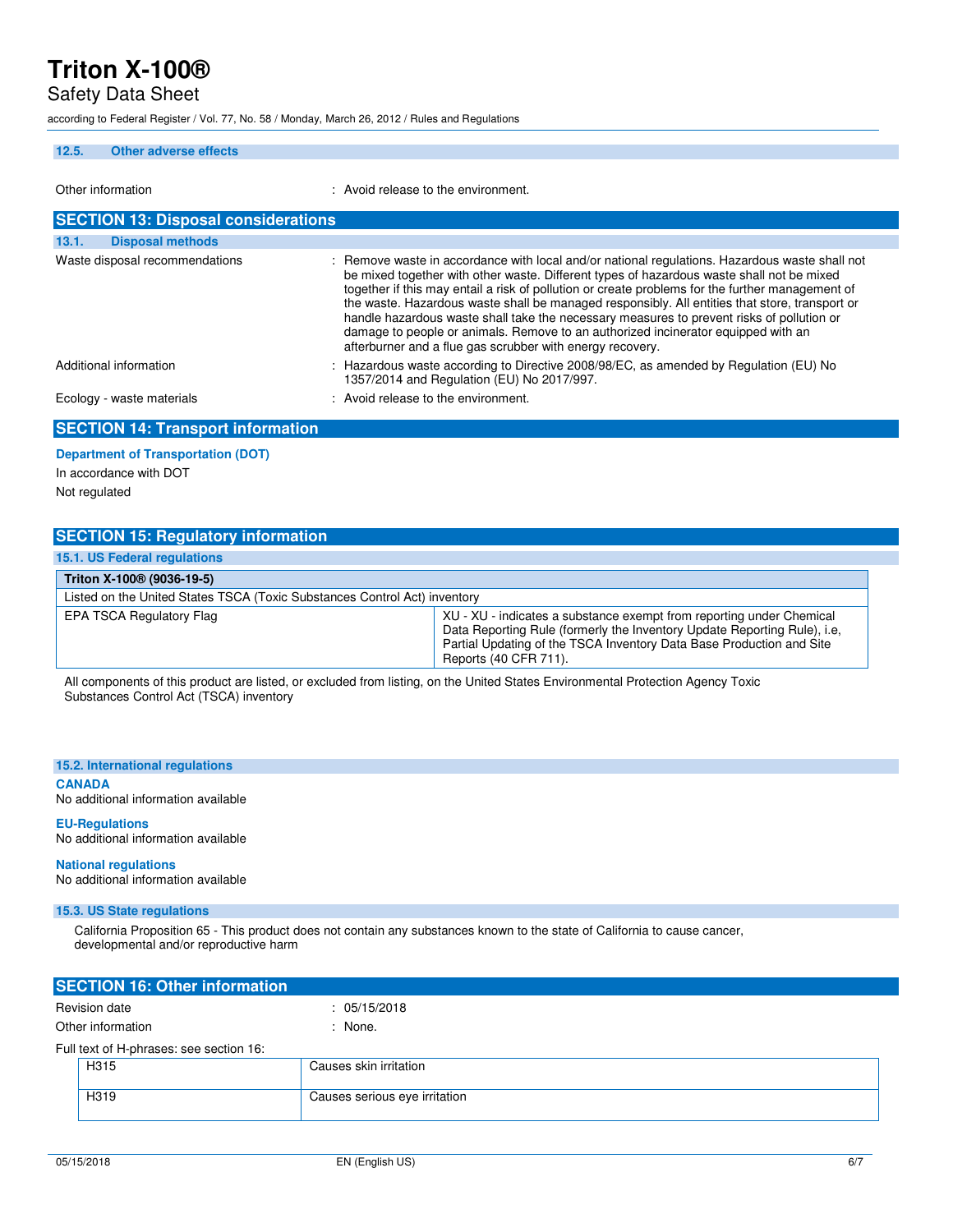Safety Data Sheet

according to Federal Register / Vol. 77, No. 58 / Monday, March 26, 2012 / Rules and Regulations

#### **12.5. Other adverse effects**

| Other information                          | : Avoid release to the environment.                                                                                                                                                                                                                                                                                                                                                                                                                                                                                                                                                                                                              |
|--------------------------------------------|--------------------------------------------------------------------------------------------------------------------------------------------------------------------------------------------------------------------------------------------------------------------------------------------------------------------------------------------------------------------------------------------------------------------------------------------------------------------------------------------------------------------------------------------------------------------------------------------------------------------------------------------------|
| <b>SECTION 13: Disposal considerations</b> |                                                                                                                                                                                                                                                                                                                                                                                                                                                                                                                                                                                                                                                  |
| 13.1.<br><b>Disposal methods</b>           |                                                                                                                                                                                                                                                                                                                                                                                                                                                                                                                                                                                                                                                  |
| Waste disposal recommendations             | : Remove waste in accordance with local and/or national regulations. Hazardous waste shall not<br>be mixed together with other waste. Different types of hazardous waste shall not be mixed<br>together if this may entail a risk of pollution or create problems for the further management of<br>the waste. Hazardous waste shall be managed responsibly. All entities that store, transport or<br>handle hazardous waste shall take the necessary measures to prevent risks of pollution or<br>damage to people or animals. Remove to an authorized incinerator equipped with an<br>afterburner and a flue gas scrubber with energy recovery. |
| Additional information                     | : Hazardous waste according to Directive 2008/98/EC, as amended by Regulation (EU) No<br>1357/2014 and Regulation (EU) No 2017/997.                                                                                                                                                                                                                                                                                                                                                                                                                                                                                                              |
| Ecology - waste materials                  | : Avoid release to the environment.                                                                                                                                                                                                                                                                                                                                                                                                                                                                                                                                                                                                              |
| <b>CECTION 14. Transport information</b>   |                                                                                                                                                                                                                                                                                                                                                                                                                                                                                                                                                                                                                                                  |

### **SECTION 14: Transport information**

**Department of Transportation (DOT)**  In accordance with DOT Not regulated

### **SECTION 15: Regulatory information**

| 15.1. US Federal regulations                                              |                                                                                                                                                                                                                                                   |  |
|---------------------------------------------------------------------------|---------------------------------------------------------------------------------------------------------------------------------------------------------------------------------------------------------------------------------------------------|--|
| Triton X-100 <sup>®</sup> (9036-19-5)                                     |                                                                                                                                                                                                                                                   |  |
| Listed on the United States TSCA (Toxic Substances Control Act) inventory |                                                                                                                                                                                                                                                   |  |
| EPA TSCA Regulatory Flag                                                  | XU - XU - indicates a substance exempt from reporting under Chemical<br>Data Reporting Rule (formerly the Inventory Update Reporting Rule), i.e,<br>Partial Updating of the TSCA Inventory Data Base Production and Site<br>Reports (40 CFR 711). |  |

All components of this product are listed, or excluded from listing, on the United States Environmental Protection Agency Toxic Substances Control Act (TSCA) inventory

#### **15.2. International regulations**

**CANADA** 

No additional information available

### **EU-Regulations**

No additional information available

### **National regulations**

No additional information available

#### **15.3. US State regulations**

 California Proposition 65 - This product does not contain any substances known to the state of California to cause cancer, developmental and/or reproductive harm

| <b>SECTION 16: Other information</b>    |                               |  |
|-----------------------------------------|-------------------------------|--|
| Revision date                           | : 05/15/2018                  |  |
| Other information                       | : None.                       |  |
| Full text of H-phrases: see section 16: |                               |  |
| H315                                    | Causes skin irritation        |  |
| H319                                    | Causes serious eye irritation |  |